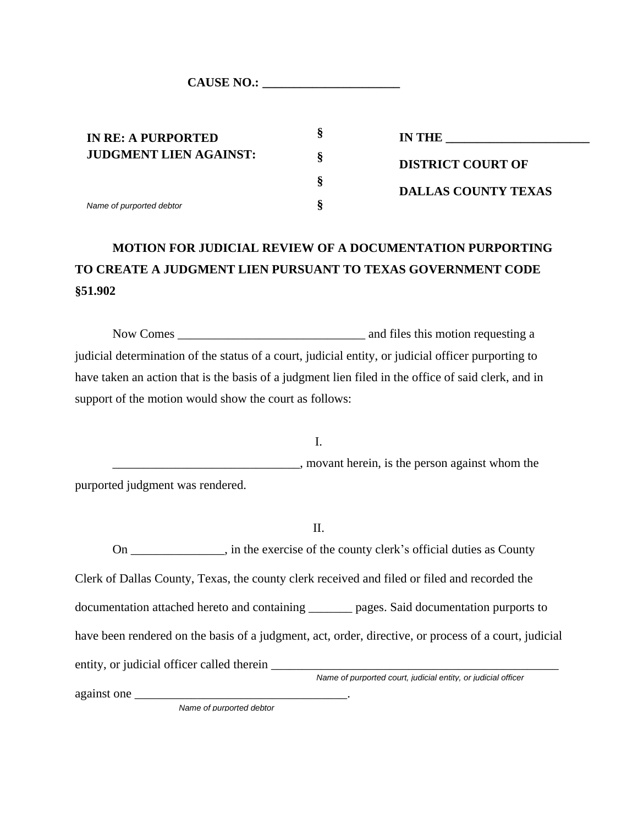CAUSE NO.:

**IN RE: A PURPORTED JUDGMENT LIEN AGAINST:** *Name of purported debtor*

**IN THE DISTRICT COURT OF DALLAS COUNTY TEXAS**

# **MOTION FOR JUDICIAL REVIEW OF A DOCUMENTATION PURPORTING TO CREATE A JUDGMENT LIEN PURSUANT TO TEXAS GOVERNMENT CODE §51.902**

**§**

**§**

**§**

**§**

Now Comes \_\_\_\_\_\_\_\_\_\_\_\_\_\_\_\_\_\_\_\_\_\_\_\_\_\_\_\_\_\_ and files this motion requesting a judicial determination of the status of a court, judicial entity, or judicial officer purporting to have taken an action that is the basis of a judgment lien filed in the office of said clerk, and in support of the motion would show the court as follows:

I. \_\_\_\_\_\_\_\_\_\_\_\_\_\_\_\_\_\_\_\_\_\_\_\_\_\_\_\_\_\_, movant herein, is the person against whom the purported judgment was rendered.

II.

On \_\_\_\_\_\_\_\_\_\_\_\_\_\_\_, in the exercise of the county clerk's official duties as County Clerk of Dallas County, Texas, the county clerk received and filed or filed and recorded the documentation attached hereto and containing \_\_\_\_\_\_\_ pages. Said documentation purports to have been rendered on the basis of a judgment, act, order, directive, or process of a court, judicial entity, or judicial officer called therein \_\_\_\_\_\_\_\_\_\_\_\_\_\_\_\_\_\_\_\_\_\_\_\_\_\_\_\_\_\_\_\_\_\_\_\_\_\_\_\_\_\_\_\_\_\_ *Name of purported court, judicial entity, or judicial officer*

against one \_\_\_\_\_\_\_\_\_\_\_\_\_\_\_\_\_\_\_\_\_\_\_\_\_\_\_\_\_\_\_\_\_\_.

*Name of purported debtor*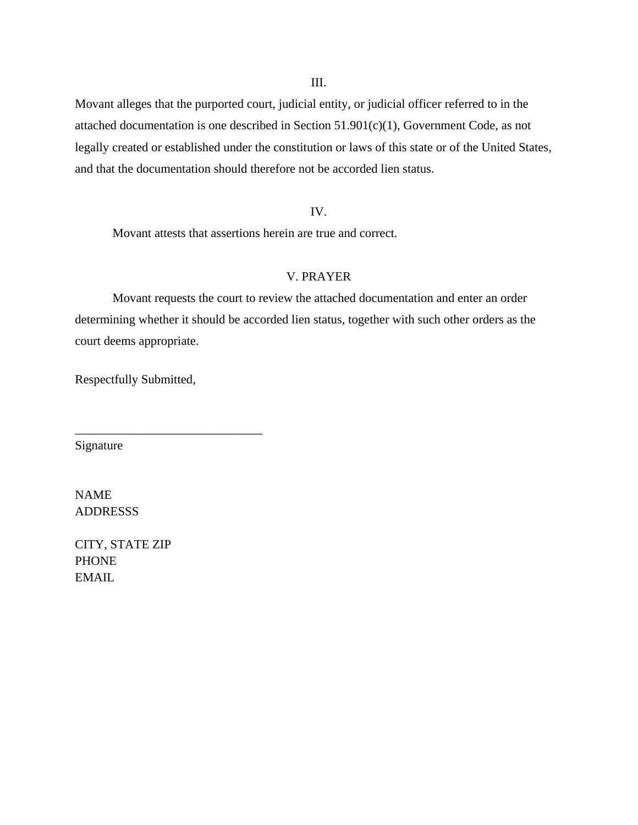III.

Movant alleges that the purported court, judicial entity, or judicial officer referred to in the attached documentation is one described in Section 51.901(c)(1), Government Code, as not legally created or established under the constitution or laws of this state or of the United States, and that the documentation should therefore not be accorded lien status.

#### IV.

Movant attests that assertions herein are true and correct.

#### V. PRAYER

Movant requests the court to review the attached documentation and enter an order determining whether it should be accorded lien status, together with such other orders as the court deems appropriate.

Respectfully Submitted,

\_\_\_\_\_\_\_\_\_\_\_\_\_\_\_\_\_\_\_\_\_\_\_\_\_\_\_\_\_\_

Signature

NAME **ADDRESSS** 

CITY, STATE ZIP PHONE EMAIL